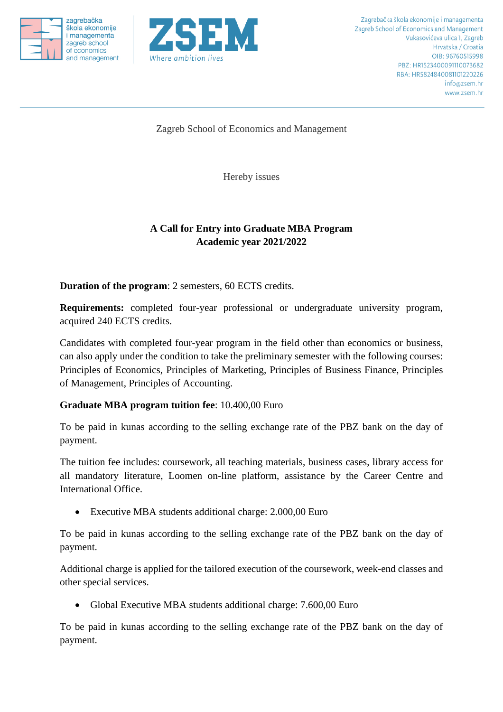





Zagreb School of Economics and Management

Hereby issues

## **A Call for Entry into Graduate MBA Program Academic year 2021/2022**

**Duration of the program**: 2 semesters, 60 ECTS credits.

**Requirements:** completed four-year professional or undergraduate university program, acquired 240 ECTS credits.

Candidates with completed four-year program in the field other than economics or business, can also apply under the condition to take the preliminary semester with the following courses: Principles of Economics, Principles of Marketing, Principles of Business Finance, Principles of Management, Principles of Accounting.

## **Graduate MBA program tuition fee**: 10.400,00 Euro

To be paid in kunas according to the selling exchange rate of the PBZ bank on the day of payment.

The tuition fee includes: coursework, all teaching materials, business cases, library access for all mandatory literature, Loomen on-line platform, assistance by the Career Centre and International Office.

• Executive MBA students additional charge: 2.000,00 Euro

To be paid in kunas according to the selling exchange rate of the PBZ bank on the day of payment.

Additional charge is applied for the tailored execution of the coursework, week-end classes and other special services.

• Global Executive MBA students additional charge: 7.600,00 Euro

To be paid in kunas according to the selling exchange rate of the PBZ bank on the day of payment.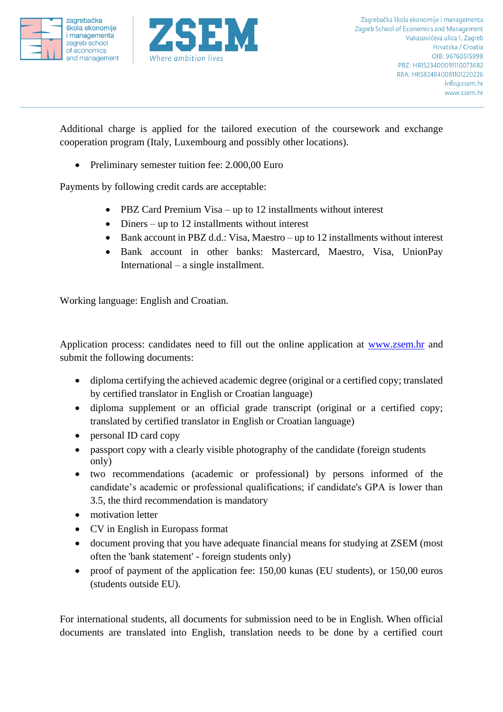



Additional charge is applied for the tailored execution of the coursework and exchange cooperation program (Italy, Luxembourg and possibly other locations).

• Preliminary semester tuition fee: 2.000,00 Euro

Payments by following credit cards are acceptable:

- PBZ Card Premium Visa up to 12 installments without interest
- Diners up to 12 installments without interest
- Bank account in PBZ d.d.: Visa, Maestro up to 12 installments without interest
- Bank account in other banks: Mastercard, Maestro, Visa, UnionPay International – a single installment.

Working language: English and Croatian.

Application process: candidates need to fill out the online application at [www.zsem.hr](http://www.zsem.hr/) and submit the following documents:

- diploma certifying the achieved academic degree (original or a certified copy; translated by certified translator in English or Croatian language)
- diploma supplement or an official grade transcript (original or a certified copy; translated by certified translator in English or Croatian language)
- personal ID card copy
- passport copy with a clearly visible photography of the candidate (foreign students only)
- two recommendations (academic or professional) by persons informed of the candidate's academic or professional qualifications; if candidate's GPA is lower than 3.5, the third recommendation is mandatory
- motivation letter
- CV in English in Europass format
- document proving that you have adequate financial means for studying at ZSEM (most often the 'bank statement' - foreign students only)
- proof of payment of the application fee: 150,00 kunas (EU students), or 150,00 euros (students outside EU).

For international students, all documents for submission need to be in English. When official documents are translated into English, translation needs to be done by a certified court